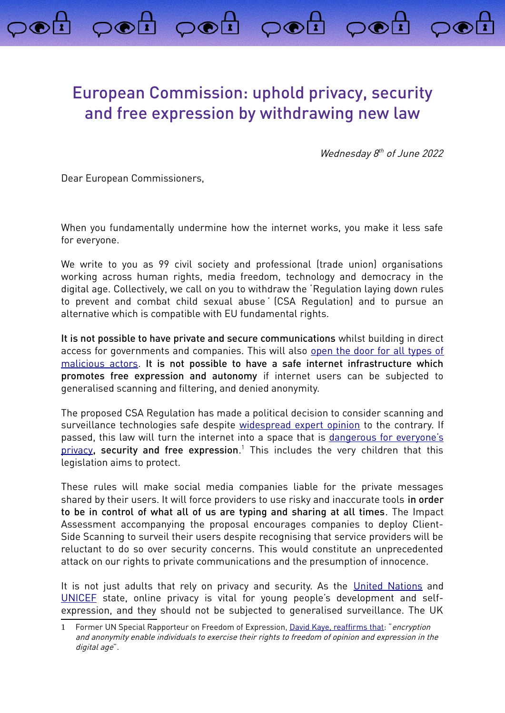## European Commission: uphold privacy, security and free expression by withdrawing new law

poi poi poi poi

Wednesday 8<sup>th</sup> of June 2022

Dear European Commissioners,

When you fundamentally undermine how the internet works, you make it less safe for everyone.

We write to you as 99 civil society and professional (trade union) organisations working across human rights, media freedom, technology and democracy in the digital age. Collectively, we call on you to withdraw the 'Regulation laying down rules to prevent and combat child sexual abuse' (CSA Regulation) and to pursue an alternative which is compatible with EU fundamental rights.

It is not possible to have private and secure communications whilst building in direct access for governments and companies. This will also [open the door for all types of](https://arxiv.org/abs/2110.07450) [malicious actors.](https://arxiv.org/abs/2110.07450) It is not possible to have a safe internet infrastructure which promotes free expression and autonomy if internet users can be subjected to generalised scanning and filtering, and denied anonymity.

The proposed CSA Regulation has made a political decision to consider scanning and surveillance technologies safe despite [widespread expert opinion](https://www.globalencryption.org/2022/05/joint-statement-on-the-dangers-of-the-eus-proposed-regulation-for-fighting-child-sexual-abuse-online/) to the contrary. If passed, this law will turn the internet into a space that is [dangerous for everyone's](https://europeanlawblog.eu/2022/06/07/does-monitoring-your-phone-affect-the-essence-of-privacy/) [privacy](https://europeanlawblog.eu/2022/06/07/does-monitoring-your-phone-affect-the-essence-of-privacy/), **security and free expression**.<sup>[1](#page-0-0)</sup> This includes the very children that this legislation aims to protect.

These rules will make social media companies liable for the private messages shared by their users. It will force providers to use risky and inaccurate tools in order to be in control of what all of us are typing and sharing at all times. The Impact Assessment accompanying the proposal encourages companies to deploy Client-Side Scanning to surveil their users despite recognising that service providers will be reluctant to do so over security concerns. This would constitute an unprecedented attack on our rights to private communications and the presumption of innocence.

It is not just adults that rely on privacy and security. As the [United Nations](https://www.ohchr.org/en/documents/general-comments-and-recommendations/general-comment-no-25-2021-childrens-rights-relation) and [UNICEF](https://sites.unicef.org/csr/files/UNICEF_Childrens_Online_Privacy_and_Freedom_of_Expression(1).pdf) state, online privacy is vital for young people's development and selfexpression, and they should not be subjected to generalised surveillance. The UK

<span id="page-0-0"></span><sup>1</sup> Former UN Special Rapporteur on Freedom of Expression, [David Kaye,](https://digitallibrary.un.org/record/798709?ln=en) reaffirms that: "encryption and anonymity enable individuals to exercise their rights to freedom of opinion and expression in the digital age".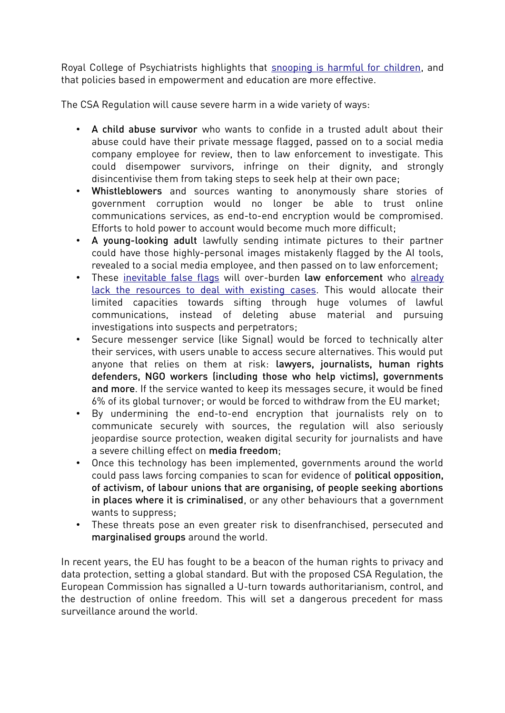Royal College of Psychiatrists highlights that snooping is harmful for children, and that policies based in empowerment and education are more effective.

The CSA Regulation will cause severe harm in a wide variety of ways:

- A child abuse survivor who wants to confide in a trusted adult about their abuse could have their private message flagged, passed on to a social media company employee for review, then to law enforcement to investigate. This could disempower survivors, infringe on their dignity, and strongly disincentivise them from taking steps to seek help at their own pace;
- Whistleblowers and sources wanting to anonymously share stories of government corruption would no longer be able to trust online communications services, as end-to-end encryption would be compromised. Efforts to hold power to account would become much more difficult;
- A young-looking adult lawfully sending intimate pictures to their partner could have those highly-personal images mistakenly flagged by the AI tools, revealed to a social media employee, and then passed on to law enforcement;
- These [inevitable false flags](https://edri.org/our-work/internal-documents-revealed-the-worst-for-private-communications-in-the-eu-how-will-the-commissioners-respond/) will over-burden law enforcement who [already](https://netzpolitik.org/2022/depictions-of-child-abuse-the-internet-forgets-nothing-as-long-as-its-not-supposed-to-forget/)  [lack the resources to deal with existing cases.](https://netzpolitik.org/2022/depictions-of-child-abuse-the-internet-forgets-nothing-as-long-as-its-not-supposed-to-forget/) This would allocate their limited capacities towards sifting through huge volumes of lawful communications, instead of deleting abuse material and pursuing investigations into suspects and perpetrators;
- Secure messenger service (like Signal) would be forced to technically alter their services, with users unable to access secure alternatives. This would put anyone that relies on them at risk: lawyers, journalists, human rights defenders, NGO workers (including those who help victims), governments and more. If the service wanted to keep its messages secure, it would be fined 6% of its global turnover; or would be forced to withdraw from the EU market;
- By undermining the end-to-end encryption that journalists rely on to communicate securely with sources, the regulation will also seriously jeopardise source protection, weaken digital security for journalists and have a severe chilling effect on media freedom;
- Once this technology has been implemented, governments around the world could pass laws forcing companies to scan for evidence of political opposition, of activism, of labour unions that are organising, of people seeking abortions in places where it is criminalised, or any other behaviours that a government wants to suppress;
- These threats pose an even greater risk to disenfranchised, persecuted and marginalised groups around the world.

In recent years, the EU has fought to be a beacon of the human rights to privacy and data protection, setting a global standard. But with the proposed CSA Regulation, the European Commission has signalled a U-turn towards authoritarianism, control, and the destruction of online freedom. This will set a dangerous precedent for mass surveillance around the world.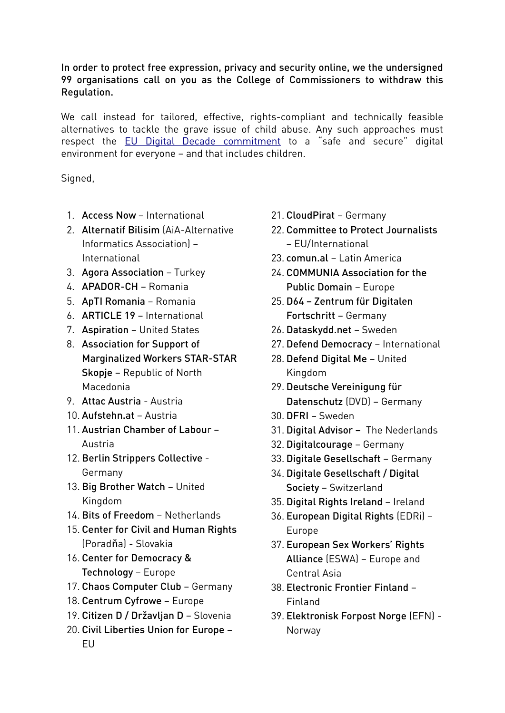## In order to protect free expression, privacy and security online, we the undersigned 99 organisations call on you as the College of Commissioners to withdraw this Regulation.

We call instead for tailored, effective, rights-compliant and technically feasible alternatives to tackle the grave issue of child abuse. Any such approaches must respect the [EU Digital Decade commitment](https://ec.europa.eu/info/strategy/priorities-2019-2024/europe-fit-digital-age/europes-digital-decade-digital-targets-2030_en) to a "safe and secure" digital environment for everyone – and that includes children.

Signed,

- 1. Access Now International
- 2. Alternatif Bilisim (AiA-Alternative Informatics Association) – International
- 3. Agora Association Turkey
- 4. APADOR-CH Romania
- 5. ApTI Romania Romania
- 6. ARTICLE 19 International
- 7. Aspiration United States
- 8. Association for Support of Marginalized Workers STAR-STAR Skopje – Republic of North Macedonia
- 9. Attac Austria Austria
- 10. Aufstehn.at Austria
- 11. Austrian Chamber of Labour Austria
- 12. Berlin Strippers Collective Germany
- 13. Big Brother Watch United Kingdom
- 14. Bits of Freedom Netherlands
- 15. Center for Civil and Human Rights (Poradňa) - Slovakia
- 16. Center for Democracy & Technology – Europe
- 17. Chaos Computer Club Germany
- 18. Centrum Cyfrowe Europe
- 19. Citizen D / Državljan D Slovenia
- 20. Civil Liberties Union for Europe EU
- 21. CloudPirat Germany
- 22. Committee to Protect Journalists – EU/International
- 23. comun.al Latin America
- 24. COMMUNIA Association for the Public Domain – Europe
- 25. D64 Zentrum für Digitalen Fortschritt – Germany
- 26. Dataskydd.net Sweden
- 27. Defend Democracy International
- 28. Defend Digital Me United Kingdom
- 29. Deutsche Vereinigung für Datenschutz (DVD) – Germany
- 30. DFRI Sweden
- 31. Digital Advisor The Nederlands
- 32. Digitalcourage Germany
- 33. Digitale Gesellschaft Germany
- 34. Digitale Gesellschaft / Digital Society – Switzerland
- 35. Digital Rights Ireland Ireland
- 36. European Digital Rights (EDRi) Europe
- 37. European Sex Workers' Rights Alliance (ESWA) – Europe and Central Asia
- 38. Electronic Frontier Finland Finland
- 39. Elektronisk Forpost Norge (EFN) Norway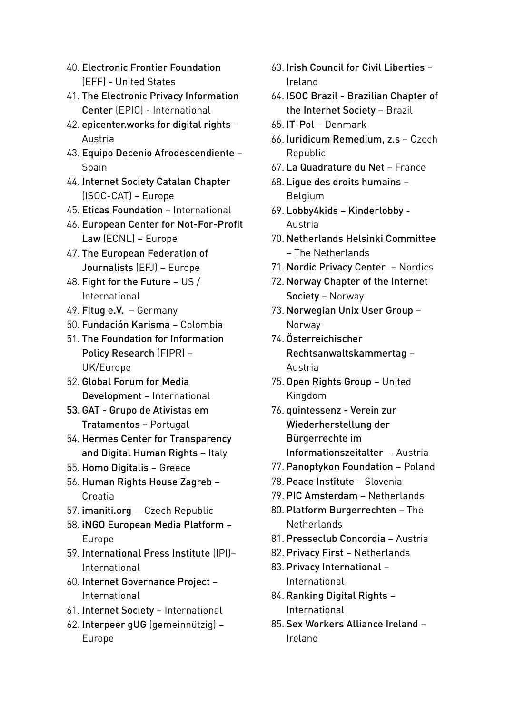- 40. Electronic Frontier Foundation (EFF) - United States
- 41. The Electronic Privacy Information Center (EPIC) - International
- 42. epicenter.works for digital rights Austria
- 43. Equipo Decenio Afrodescendiente Spain
- 44. Internet Society Catalan Chapter (ISOC-CAT) – Europe
- 45. Eticas Foundation International
- 46. European Center for Not-For-Profit Law (ECNL) – Europe
- 47. The European Federation of Journalists (EFJ) – Europe
- 48. Fight for the Future US / International
- 49. Fitug e.V. Germany
- 50. Fundación Karisma Colombia
- 51. The Foundation for Information Policy Research (FIPR) – UK/Europe
- 52. Global Forum for Media Development – International
- 53.GAT Grupo de Ativistas em Tratamentos – Portugal
- 54. Hermes Center for Transparency and Digital Human Rights – Italy
- 55. Homo Digitalis Greece
- 56. Human Rights House Zagreb Croatia
- 57. imaniti.org Czech Republic
- 58. iNGO European Media Platform Europe
- 59. International Press Institute (IPI)– International
- 60. Internet Governance Project International
- 61. Internet Society International
- 62. Interpeer gUG (gemeinnützig) Europe
- 63. Irish Council for Civil Liberties Ireland
- 64. ISOC Brazil Brazilian Chapter of the Internet Society – Brazil
- 65. IT-Pol Denmark
- 66. Iuridicum Remedium, z.s Czech Republic
- 67. La Quadrature du Net France
- 68. Ligue des droits humains Belgium
- 69. Lobby4kids Kinderlobby Austria
- 70. Netherlands Helsinki Committee – The Netherlands
- 71. Nordic Privacy Center Nordics
- 72. Norway Chapter of the Internet Society – Norway
- 73. Norwegian Unix User Group Norway
- 74. Österreichischer Rechtsanwaltskammertag – Austria
- 75. Open Rights Group United Kingdom
- 76. quintessenz Verein zur Wiederherstellung der Bürgerrechte im Informationszeitalter – Austria
- 77. Panoptykon Foundation Poland
- 78. Peace Institute Slovenia
- 79. PIC Amsterdam Netherlands
- 80. Platform Burgerrechten The **Netherlands**
- 81. Presseclub Concordia Austria
- 82. Privacy First Netherlands
- 83. Privacy International International
- 84. Ranking Digital Rights International
- 85. Sex Workers Alliance Ireland Ireland